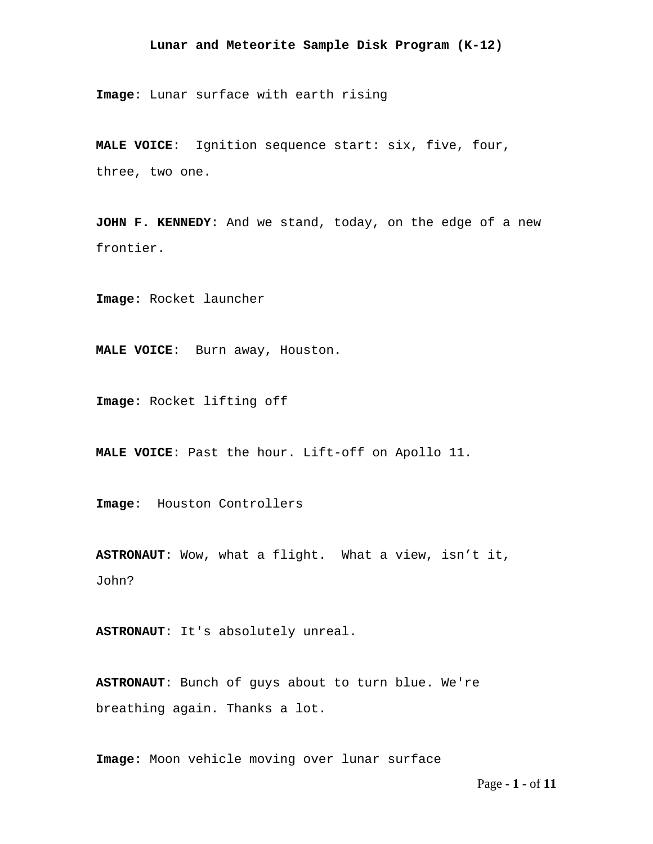**Image**: Lunar surface with earth rising

**MALE VOICE**: Ignition sequence start: six, five, four, three, two one.

**JOHN F. KENNEDY**: And we stand, today, on the edge of a new frontier.

**Image**: Rocket launcher

**MALE VOICE**: Burn away, Houston.

**Image**: Rocket lifting off

**MALE VOICE**: Past the hour. Lift-off on Apollo 11.

**Image**: Houston Controllers

**ASTRONAUT**: Wow, what a flight. What a view, isn't it, John?

**ASTRONAUT**: It's absolutely unreal.

**ASTRONAUT**: Bunch of guys about to turn blue. We're breathing again. Thanks a lot.

**Image**: Moon vehicle moving over lunar surface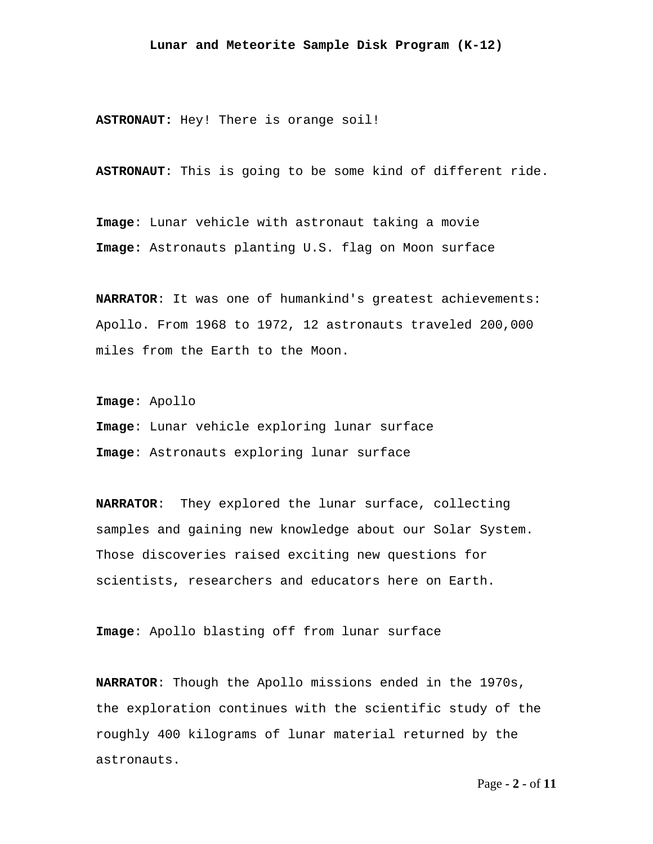**ASTRONAUT:** Hey! There is orange soil!

**ASTRONAUT**: This is going to be some kind of different ride.

**Image**: Lunar vehicle with astronaut taking a movie **Image:** Astronauts planting U.S. flag on Moon surface

**NARRATOR**: It was one of humankind's greatest achievements: Apollo. From 1968 to 1972, 12 astronauts traveled 200,000 miles from the Earth to the Moon.

**Image**: Apollo

**Image**: Lunar vehicle exploring lunar surface **Image**: Astronauts exploring lunar surface

**NARRATOR**: They explored the lunar surface, collecting samples and gaining new knowledge about our Solar System. Those discoveries raised exciting new questions for scientists, researchers and educators here on Earth.

**Image**: Apollo blasting off from lunar surface

**NARRATOR**: Though the Apollo missions ended in the 1970s, the exploration continues with the scientific study of the roughly 400 kilograms of lunar material returned by the astronauts.

Page **- 2 -** of **11**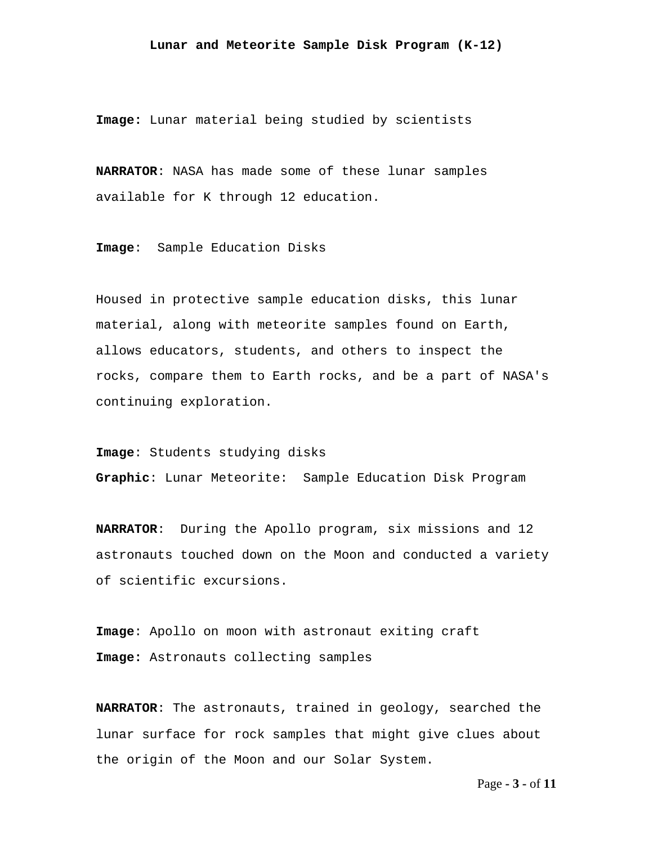**Image:** Lunar material being studied by scientists

**NARRATOR**: NASA has made some of these lunar samples available for K through 12 education.

**Image**: Sample Education Disks

Housed in protective sample education disks, this lunar material, along with meteorite samples found on Earth, allows educators, students, and others to inspect the rocks, compare them to Earth rocks, and be a part of NASA's continuing exploration.

**Image**: Students studying disks **Graphic**: Lunar Meteorite: Sample Education Disk Program

**NARRATOR**: During the Apollo program, six missions and 12 astronauts touched down on the Moon and conducted a variety of scientific excursions.

**Image**: Apollo on moon with astronaut exiting craft **Image:** Astronauts collecting samples

**NARRATOR**: The astronauts, trained in geology, searched the lunar surface for rock samples that might give clues about the origin of the Moon and our Solar System.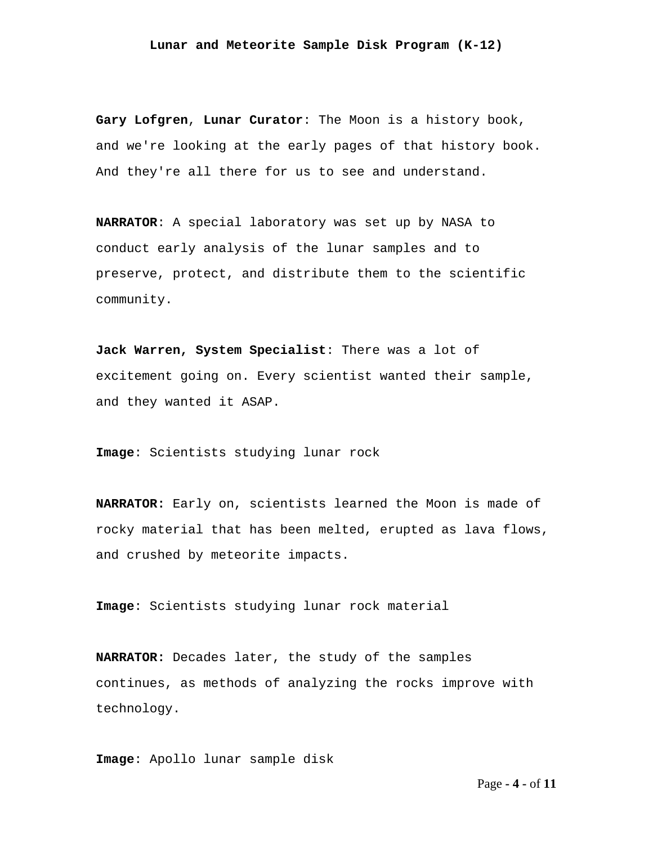**Gary Lofgren**, **Lunar Curator**: The Moon is a history book, and we're looking at the early pages of that history book. And they're all there for us to see and understand.

**NARRATOR**: A special laboratory was set up by NASA to conduct early analysis of the lunar samples and to preserve, protect, and distribute them to the scientific community.

**Jack Warren, System Specialist**: There was a lot of excitement going on. Every scientist wanted their sample, and they wanted it ASAP.

**Image**: Scientists studying lunar rock

**NARRATOR:** Early on, scientists learned the Moon is made of rocky material that has been melted, erupted as lava flows, and crushed by meteorite impacts.

**Image**: Scientists studying lunar rock material

**NARRATOR:** Decades later, the study of the samples continues, as methods of analyzing the rocks improve with technology.

**Image**: Apollo lunar sample disk

Page **- 4 -** of **11**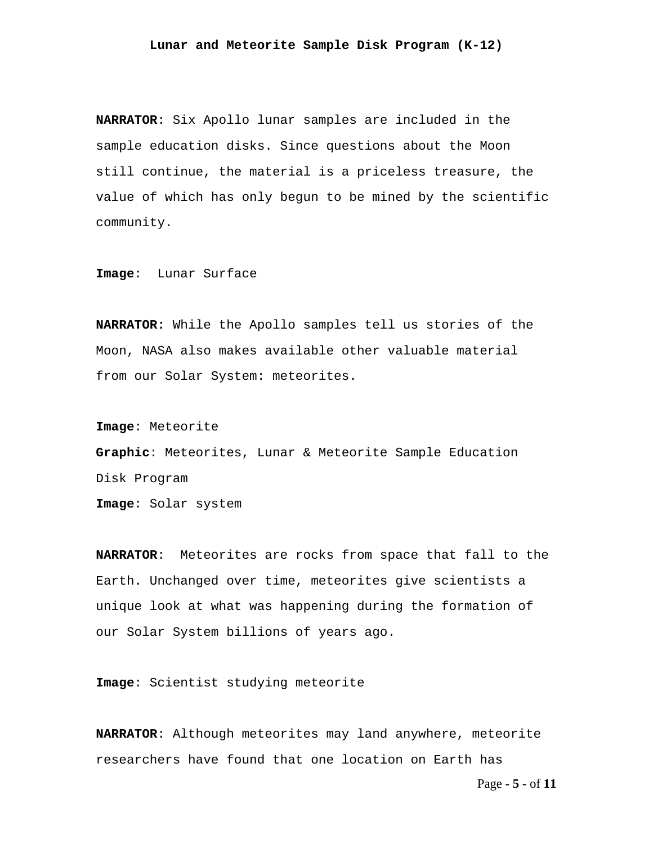**NARRATOR**: Six Apollo lunar samples are included in the sample education disks. Since questions about the Moon still continue, the material is a priceless treasure, the value of which has only begun to be mined by the scientific community.

**Image**: Lunar Surface

**NARRATOR:** While the Apollo samples tell us stories of the Moon, NASA also makes available other valuable material from our Solar System: meteorites.

**Image**: Meteorite **Graphic**: Meteorites, Lunar & Meteorite Sample Education Disk Program **Image**: Solar system

**NARRATOR**: Meteorites are rocks from space that fall to the Earth. Unchanged over time, meteorites give scientists a unique look at what was happening during the formation of our Solar System billions of years ago.

**Image**: Scientist studying meteorite

**NARRATOR**: Although meteorites may land anywhere, meteorite researchers have found that one location on Earth has

Page **- 5 -** of **11**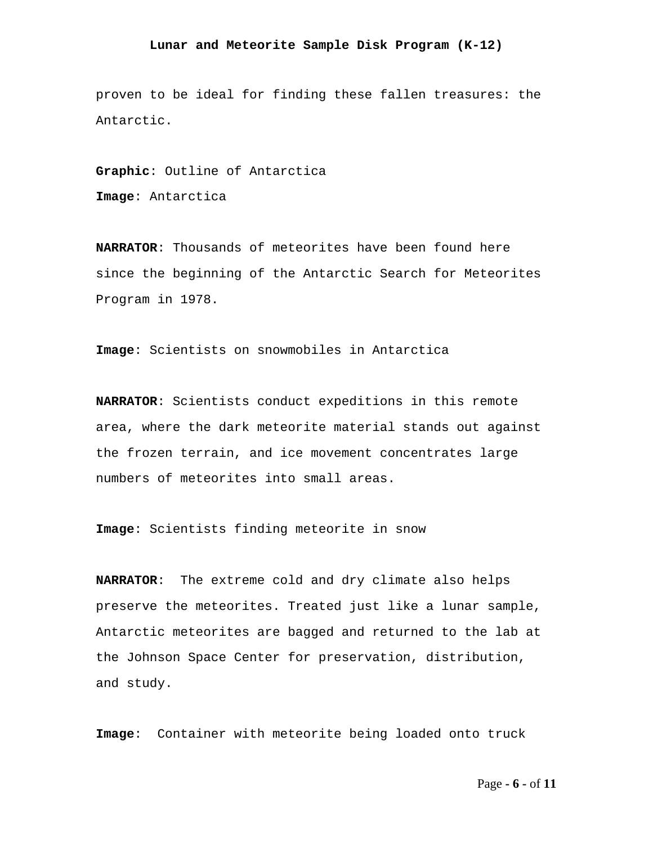proven to be ideal for finding these fallen treasures: the Antarctic.

**Graphic**: Outline of Antarctica

**Image**: Antarctica

**NARRATOR**: Thousands of meteorites have been found here since the beginning of the Antarctic Search for Meteorites Program in 1978.

**Image**: Scientists on snowmobiles in Antarctica

**NARRATOR**: Scientists conduct expeditions in this remote area, where the dark meteorite material stands out against the frozen terrain, and ice movement concentrates large numbers of meteorites into small areas.

**Image**: Scientists finding meteorite in snow

**NARRATOR**: The extreme cold and dry climate also helps preserve the meteorites. Treated just like a lunar sample, Antarctic meteorites are bagged and returned to the lab at the Johnson Space Center for preservation, distribution, and study.

**Image**: Container with meteorite being loaded onto truck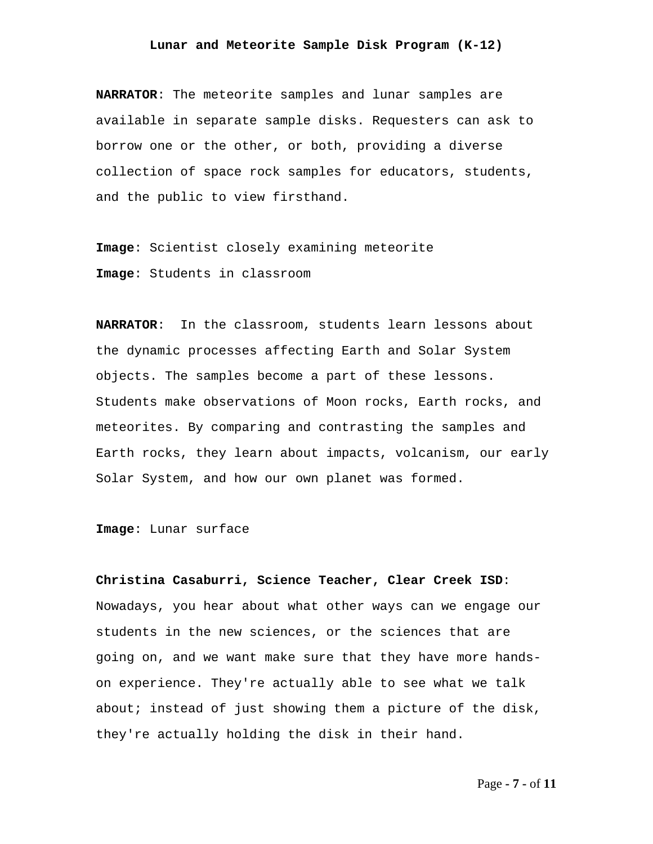**NARRATOR**: The meteorite samples and lunar samples are available in separate sample disks. Requesters can ask to borrow one or the other, or both, providing a diverse collection of space rock samples for educators, students, and the public to view firsthand.

**Image**: Scientist closely examining meteorite **Image**: Students in classroom

**NARRATOR**: In the classroom, students learn lessons about the dynamic processes affecting Earth and Solar System objects. The samples become a part of these lessons. Students make observations of Moon rocks, Earth rocks, and meteorites. By comparing and contrasting the samples and Earth rocks, they learn about impacts, volcanism, our early Solar System, and how our own planet was formed.

**Image**: Lunar surface

**Christina Casaburri, Science Teacher, Clear Creek ISD**: Nowadays, you hear about what other ways can we engage our students in the new sciences, or the sciences that are going on, and we want make sure that they have more handson experience. They're actually able to see what we talk about; instead of just showing them a picture of the disk, they're actually holding the disk in their hand.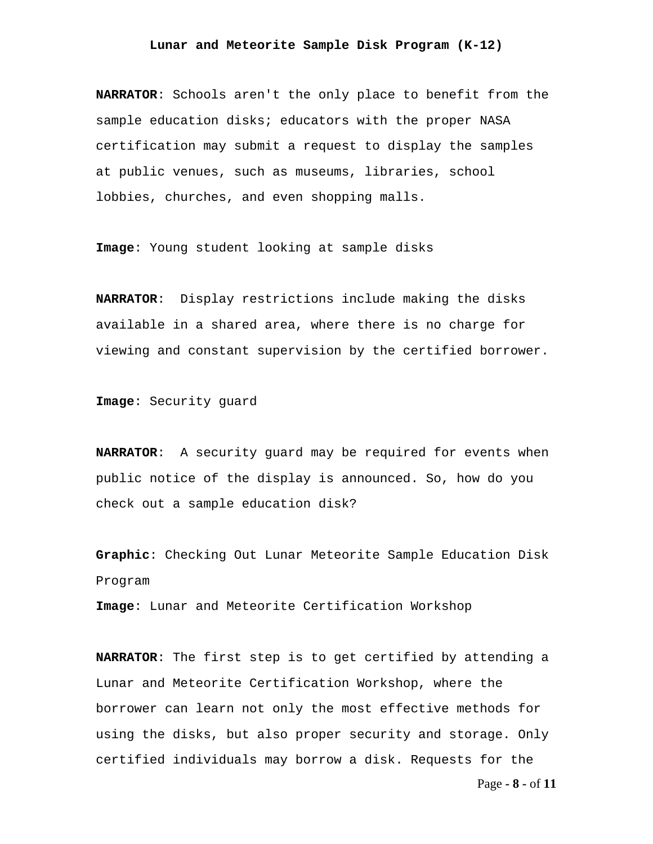**NARRATOR**: Schools aren't the only place to benefit from the sample education disks; educators with the proper NASA certification may submit a request to display the samples at public venues, such as museums, libraries, school lobbies, churches, and even shopping malls.

**Image**: Young student looking at sample disks

**NARRATOR**: Display restrictions include making the disks available in a shared area, where there is no charge for viewing and constant supervision by the certified borrower.

**Image**: Security guard

**NARRATOR**: A security guard may be required for events when public notice of the display is announced. So, how do you check out a sample education disk?

**Graphic**: Checking Out Lunar Meteorite Sample Education Disk Program

**Image**: Lunar and Meteorite Certification Workshop

**NARRATOR**: The first step is to get certified by attending a Lunar and Meteorite Certification Workshop, where the borrower can learn not only the most effective methods for using the disks, but also proper security and storage. Only certified individuals may borrow a disk. Requests for the

Page **- 8 -** of **11**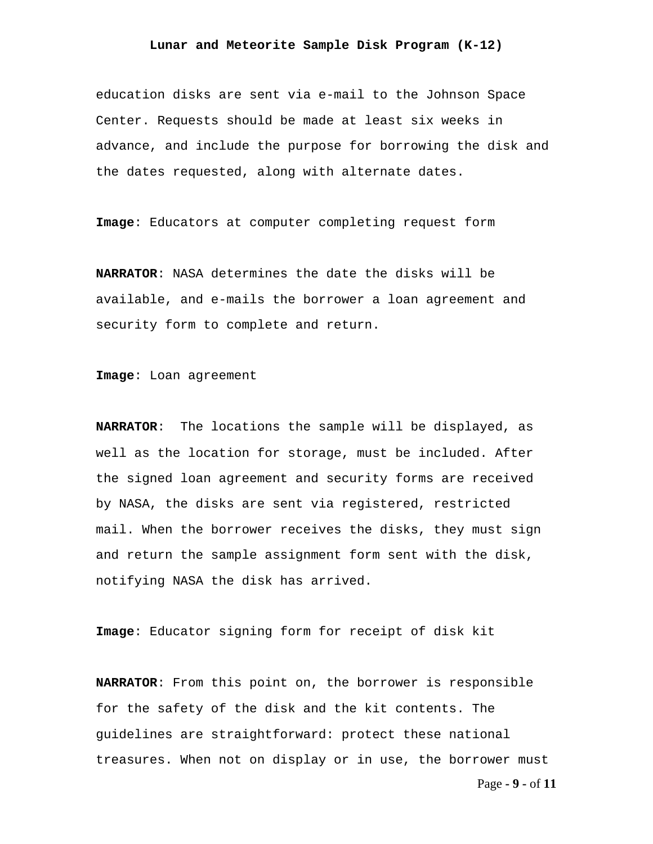education disks are sent via e-mail to the Johnson Space Center. Requests should be made at least six weeks in advance, and include the purpose for borrowing the disk and the dates requested, along with alternate dates.

**Image**: Educators at computer completing request form

**NARRATOR**: NASA determines the date the disks will be available, and e-mails the borrower a loan agreement and security form to complete and return.

**Image**: Loan agreement

**NARRATOR**: The locations the sample will be displayed, as well as the location for storage, must be included. After the signed loan agreement and security forms are received by NASA, the disks are sent via registered, restricted mail. When the borrower receives the disks, they must sign and return the sample assignment form sent with the disk, notifying NASA the disk has arrived.

**Image**: Educator signing form for receipt of disk kit

**NARRATOR**: From this point on, the borrower is responsible for the safety of the disk and the kit contents. The guidelines are straightforward: protect these national treasures. When not on display or in use, the borrower must

Page **- 9 -** of **11**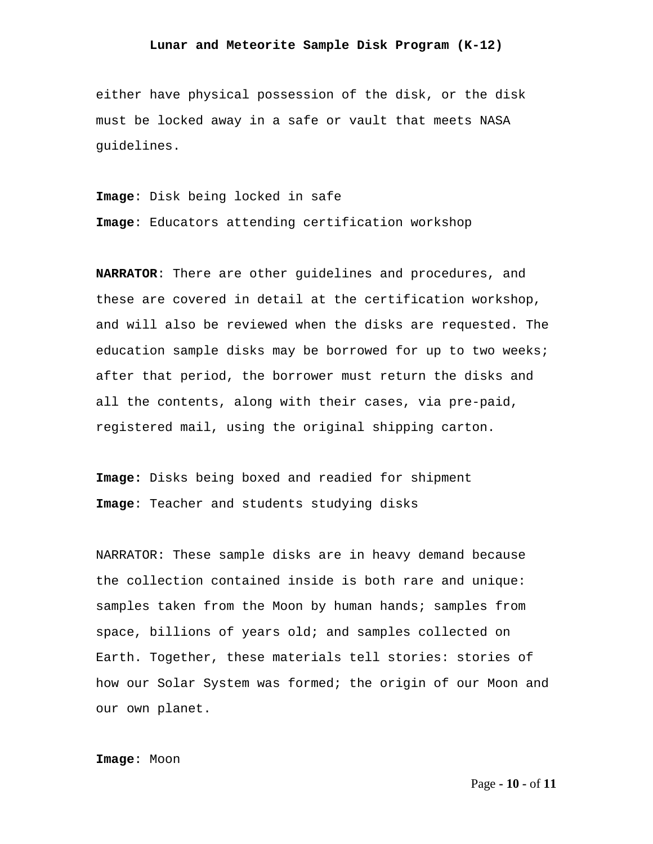either have physical possession of the disk, or the disk must be locked away in a safe or vault that meets NASA guidelines.

**Image**: Disk being locked in safe

**Image**: Educators attending certification workshop

**NARRATOR**: There are other guidelines and procedures, and these are covered in detail at the certification workshop, and will also be reviewed when the disks are requested. The education sample disks may be borrowed for up to two weeks; after that period, the borrower must return the disks and all the contents, along with their cases, via pre-paid, registered mail, using the original shipping carton.

**Image:** Disks being boxed and readied for shipment **Image**: Teacher and students studying disks

NARRATOR: These sample disks are in heavy demand because the collection contained inside is both rare and unique: samples taken from the Moon by human hands; samples from space, billions of years old; and samples collected on Earth. Together, these materials tell stories: stories of how our Solar System was formed; the origin of our Moon and our own planet.

**Image**: Moon